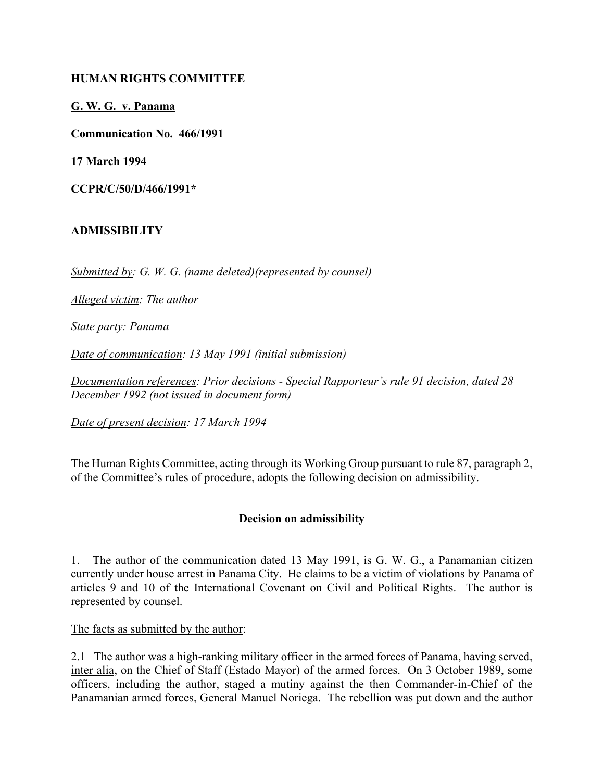### **HUMAN RIGHTS COMMITTEE**

**G. W. G. v. Panama**

**Communication No. 466/1991**

**17 March 1994**

**CCPR/C/50/D/466/1991\***

#### **ADMISSIBILITY**

*Submitted by: G. W. G. (name deleted)(represented by counsel)*

*Alleged victim: The author*

*State party: Panama*

*Date of communication: 13 May 1991 (initial submission)*

*Documentation references: Prior decisions - Special Rapporteur's rule 91 decision, dated 28 December 1992 (not issued in document form)*

*Date of present decision: 17 March 1994*

The Human Rights Committee, acting through its Working Group pursuant to rule 87, paragraph 2, of the Committee's rules of procedure, adopts the following decision on admissibility.

### **Decision on admissibility**

1. The author of the communication dated 13 May 1991, is G. W. G., a Panamanian citizen currently under house arrest in Panama City. He claims to be a victim of violations by Panama of articles 9 and 10 of the International Covenant on Civil and Political Rights. The author is represented by counsel.

The facts as submitted by the author:

2.1 The author was a high-ranking military officer in the armed forces of Panama, having served, inter alia, on the Chief of Staff (Estado Mayor) of the armed forces. On 3 October 1989, some officers, including the author, staged a mutiny against the then Commander-in-Chief of the Panamanian armed forces, General Manuel Noriega. The rebellion was put down and the author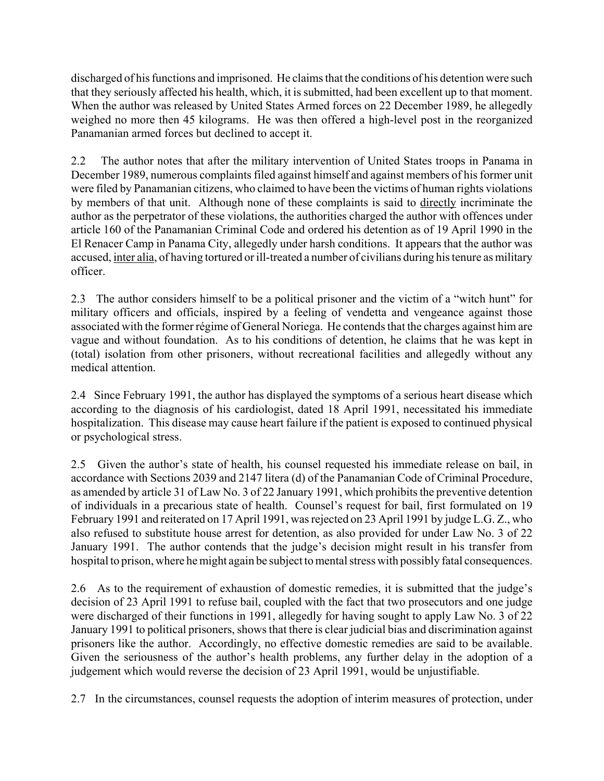discharged of his functions and imprisoned. He claims that the conditions of his detention were such that they seriously affected his health, which, it is submitted, had been excellent up to that moment. When the author was released by United States Armed forces on 22 December 1989, he allegedly weighed no more then 45 kilograms. He was then offered a high-level post in the reorganized Panamanian armed forces but declined to accept it.

2.2 The author notes that after the military intervention of United States troops in Panama in December 1989, numerous complaints filed against himself and against members of his former unit were filed by Panamanian citizens, who claimed to have been the victims of human rights violations by members of that unit. Although none of these complaints is said to directly incriminate the author as the perpetrator of these violations, the authorities charged the author with offences under article 160 of the Panamanian Criminal Code and ordered his detention as of 19 April 1990 in the El Renacer Camp in Panama City, allegedly under harsh conditions. It appears that the author was accused, inter alia, of having tortured or ill-treated a number of civilians during his tenure as military officer.

2.3 The author considers himself to be a political prisoner and the victim of a "witch hunt" for military officers and officials, inspired by a feeling of vendetta and vengeance against those associated with the former régime of General Noriega. He contends that the charges against him are vague and without foundation. As to his conditions of detention, he claims that he was kept in (total) isolation from other prisoners, without recreational facilities and allegedly without any medical attention.

2.4 Since February 1991, the author has displayed the symptoms of a serious heart disease which according to the diagnosis of his cardiologist, dated 18 April 1991, necessitated his immediate hospitalization. This disease may cause heart failure if the patient is exposed to continued physical or psychological stress.

2.5 Given the author's state of health, his counsel requested his immediate release on bail, in accordance with Sections 2039 and 2147 litera (d) of the Panamanian Code of Criminal Procedure, as amended by article 31 of Law No. 3 of 22 January 1991, which prohibits the preventive detention of individuals in a precarious state of health. Counsel's request for bail, first formulated on 19 February 1991 and reiterated on 17 April 1991, was rejected on 23 April 1991 by judge L.G. Z., who also refused to substitute house arrest for detention, as also provided for under Law No. 3 of 22 January 1991. The author contends that the judge's decision might result in his transfer from hospital to prison, where he might again be subject to mental stress with possibly fatal consequences.

2.6 As to the requirement of exhaustion of domestic remedies, it is submitted that the judge's decision of 23 April 1991 to refuse bail, coupled with the fact that two prosecutors and one judge were discharged of their functions in 1991, allegedly for having sought to apply Law No. 3 of 22 January 1991 to political prisoners, shows that there is clear judicial bias and discrimination against prisoners like the author. Accordingly, no effective domestic remedies are said to be available. Given the seriousness of the author's health problems, any further delay in the adoption of a judgement which would reverse the decision of 23 April 1991, would be unjustifiable.

2.7 In the circumstances, counsel requests the adoption of interim measures of protection, under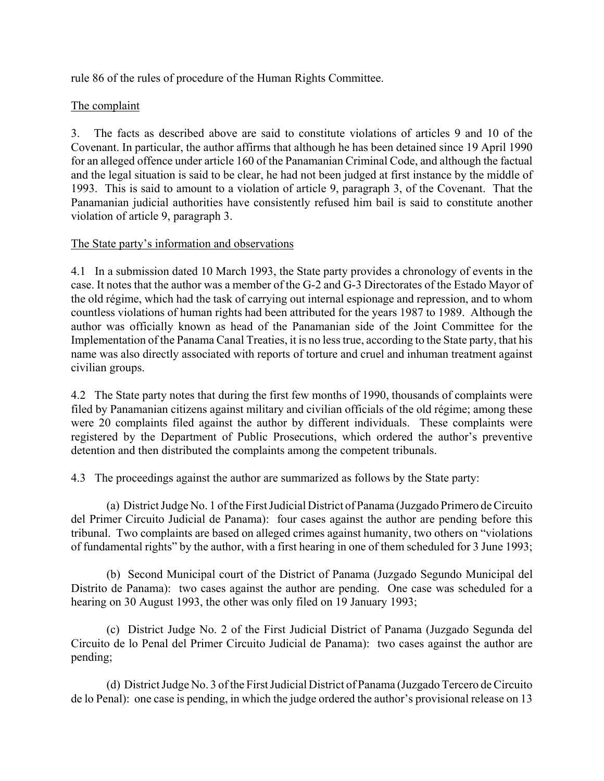rule 86 of the rules of procedure of the Human Rights Committee.

# The complaint

3. The facts as described above are said to constitute violations of articles 9 and 10 of the Covenant. In particular, the author affirms that although he has been detained since 19 April 1990 for an alleged offence under article 160 of the Panamanian Criminal Code, and although the factual and the legal situation is said to be clear, he had not been judged at first instance by the middle of 1993. This is said to amount to a violation of article 9, paragraph 3, of the Covenant. That the Panamanian judicial authorities have consistently refused him bail is said to constitute another violation of article 9, paragraph 3.

## The State party's information and observations

4.1 In a submission dated 10 March 1993, the State party provides a chronology of events in the case. It notes that the author was a member of the G-2 and G-3 Directorates of the Estado Mayor of the old régime, which had the task of carrying out internal espionage and repression, and to whom countless violations of human rights had been attributed for the years 1987 to 1989. Although the author was officially known as head of the Panamanian side of the Joint Committee for the Implementation of the Panama Canal Treaties, it is no less true, according to the State party, that his name was also directly associated with reports of torture and cruel and inhuman treatment against civilian groups.

4.2 The State party notes that during the first few months of 1990, thousands of complaints were filed by Panamanian citizens against military and civilian officials of the old régime; among these were 20 complaints filed against the author by different individuals. These complaints were registered by the Department of Public Prosecutions, which ordered the author's preventive detention and then distributed the complaints among the competent tribunals.

4.3 The proceedings against the author are summarized as follows by the State party:

(a) District Judge No. 1 of the First Judicial District of Panama (Juzgado Primero de Circuito del Primer Circuito Judicial de Panama): four cases against the author are pending before this tribunal. Two complaints are based on alleged crimes against humanity, two others on "violations" of fundamental rights" by the author, with a first hearing in one of them scheduled for 3 June 1993;

(b) Second Municipal court of the District of Panama (Juzgado Segundo Municipal del Distrito de Panama): two cases against the author are pending. One case was scheduled for a hearing on 30 August 1993, the other was only filed on 19 January 1993;

(c) District Judge No. 2 of the First Judicial District of Panama (Juzgado Segunda del Circuito de lo Penal del Primer Circuito Judicial de Panama): two cases against the author are pending;

(d) District Judge No. 3 of the First Judicial District of Panama (Juzgado Tercero de Circuito de lo Penal): one case is pending, in which the judge ordered the author's provisional release on 13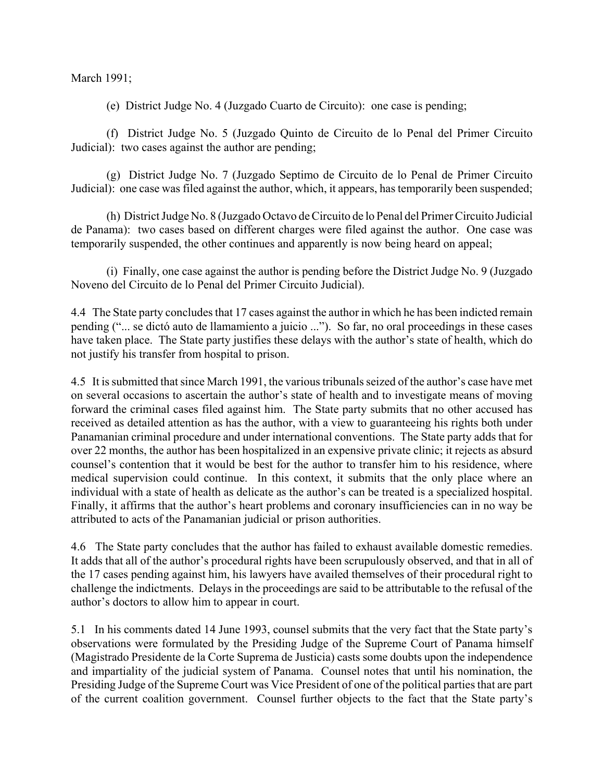March 1991;

(e) District Judge No. 4 (Juzgado Cuarto de Circuito): one case is pending;

(f) District Judge No. 5 (Juzgado Quinto de Circuito de lo Penal del Primer Circuito Judicial): two cases against the author are pending;

(g) District Judge No. 7 (Juzgado Septimo de Circuito de lo Penal de Primer Circuito Judicial): one case was filed against the author, which, it appears, has temporarily been suspended;

(h) District Judge No. 8 (Juzgado Octavo de Circuito de lo Penal del Primer Circuito Judicial de Panama): two cases based on different charges were filed against the author. One case was temporarily suspended, the other continues and apparently is now being heard on appeal;

(i) Finally, one case against the author is pending before the District Judge No. 9 (Juzgado Noveno del Circuito de lo Penal del Primer Circuito Judicial).

4.4 The State party concludes that 17 cases against the author in which he has been indicted remain pending ("... se dictó auto de llamamiento a juicio ..."). So far, no oral proceedings in these cases have taken place. The State party justifies these delays with the author's state of health, which do not justify his transfer from hospital to prison.

4.5 It is submitted that since March 1991, the various tribunals seized of the author's case have met on several occasions to ascertain the author's state of health and to investigate means of moving forward the criminal cases filed against him. The State party submits that no other accused has received as detailed attention as has the author, with a view to guaranteeing his rights both under Panamanian criminal procedure and under international conventions. The State party adds that for over 22 months, the author has been hospitalized in an expensive private clinic; it rejects as absurd counsel's contention that it would be best for the author to transfer him to his residence, where medical supervision could continue. In this context, it submits that the only place where an individual with a state of health as delicate as the author's can be treated is a specialized hospital. Finally, it affirms that the author's heart problems and coronary insufficiencies can in no way be attributed to acts of the Panamanian judicial or prison authorities.

4.6 The State party concludes that the author has failed to exhaust available domestic remedies. It adds that all of the author's procedural rights have been scrupulously observed, and that in all of the 17 cases pending against him, his lawyers have availed themselves of their procedural right to challenge the indictments. Delays in the proceedings are said to be attributable to the refusal of the author's doctors to allow him to appear in court.

5.1 In his comments dated 14 June 1993, counsel submits that the very fact that the State party's observations were formulated by the Presiding Judge of the Supreme Court of Panama himself (Magistrado Presidente de la Corte Suprema de Justicia) casts some doubts upon the independence and impartiality of the judicial system of Panama. Counsel notes that until his nomination, the Presiding Judge of the Supreme Court was Vice President of one of the political parties that are part of the current coalition government. Counsel further objects to the fact that the State party's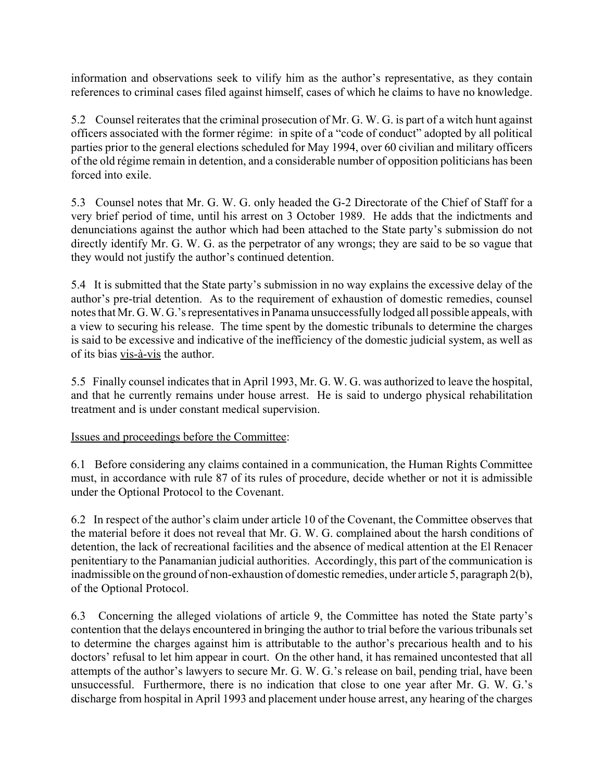information and observations seek to vilify him as the author's representative, as they contain references to criminal cases filed against himself, cases of which he claims to have no knowledge.

5.2 Counsel reiterates that the criminal prosecution of Mr. G. W. G. is part of a witch hunt against officers associated with the former régime: in spite of a "code of conduct" adopted by all political parties prior to the general elections scheduled for May 1994, over 60 civilian and military officers of the old régime remain in detention, and a considerable number of opposition politicians has been forced into exile.

5.3 Counsel notes that Mr. G. W. G. only headed the G-2 Directorate of the Chief of Staff for a very brief period of time, until his arrest on 3 October 1989. He adds that the indictments and denunciations against the author which had been attached to the State party's submission do not directly identify Mr. G. W. G. as the perpetrator of any wrongs; they are said to be so vague that they would not justify the author's continued detention.

5.4 It is submitted that the State party's submission in no way explains the excessive delay of the author's pre-trial detention. As to the requirement of exhaustion of domestic remedies, counsel notes that Mr. G. W. G.'s representatives in Panama unsuccessfully lodged all possible appeals, with a view to securing his release. The time spent by the domestic tribunals to determine the charges is said to be excessive and indicative of the inefficiency of the domestic judicial system, as well as of its bias vis-à-vis the author.

5.5 Finally counsel indicates that in April 1993, Mr. G. W. G. was authorized to leave the hospital, and that he currently remains under house arrest. He is said to undergo physical rehabilitation treatment and is under constant medical supervision.

Issues and proceedings before the Committee:

6.1 Before considering any claims contained in a communication, the Human Rights Committee must, in accordance with rule 87 of its rules of procedure, decide whether or not it is admissible under the Optional Protocol to the Covenant.

6.2 In respect of the author's claim under article 10 of the Covenant, the Committee observes that the material before it does not reveal that Mr. G. W. G. complained about the harsh conditions of detention, the lack of recreational facilities and the absence of medical attention at the El Renacer penitentiary to the Panamanian judicial authorities. Accordingly, this part of the communication is inadmissible on the ground of non-exhaustion of domestic remedies, under article 5, paragraph 2(b), of the Optional Protocol.

6.3 Concerning the alleged violations of article 9, the Committee has noted the State party's contention that the delays encountered in bringing the author to trial before the various tribunals set to determine the charges against him is attributable to the author's precarious health and to his doctors' refusal to let him appear in court. On the other hand, it has remained uncontested that all attempts of the author's lawyers to secure Mr. G. W. G.'s release on bail, pending trial, have been unsuccessful. Furthermore, there is no indication that close to one year after Mr. G. W. G.'s discharge from hospital in April 1993 and placement under house arrest, any hearing of the charges